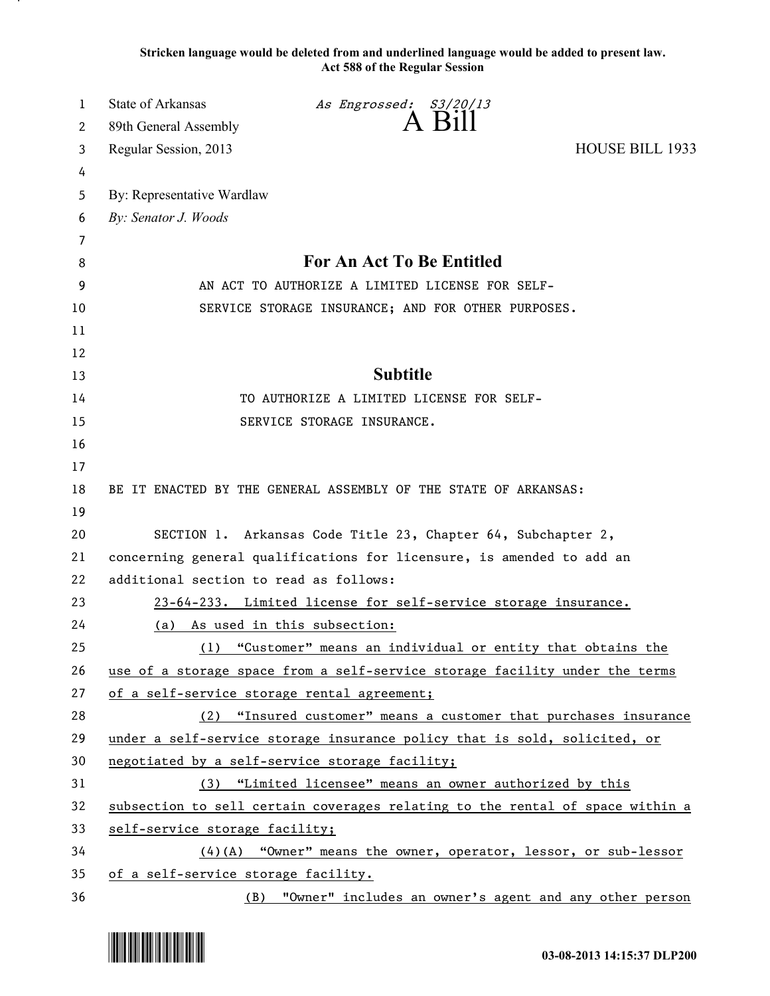**Stricken language would be deleted from and underlined language would be added to present law. Act 588 of the Regular Session**

| 1  | State of Arkansas                               | As Engrossed: S3/20/13                                                        |                        |
|----|-------------------------------------------------|-------------------------------------------------------------------------------|------------------------|
| 2  | 89th General Assembly                           |                                                                               |                        |
| 3  | Regular Session, 2013                           |                                                                               | <b>HOUSE BILL 1933</b> |
| 4  |                                                 |                                                                               |                        |
| 5  | By: Representative Wardlaw                      |                                                                               |                        |
| 6  | By: Senator J. Woods                            |                                                                               |                        |
| 7  |                                                 |                                                                               |                        |
| 8  |                                                 | For An Act To Be Entitled                                                     |                        |
| 9  | AN ACT TO AUTHORIZE A LIMITED LICENSE FOR SELF- |                                                                               |                        |
| 10 |                                                 | SERVICE STORAGE INSURANCE; AND FOR OTHER PURPOSES.                            |                        |
| 11 |                                                 |                                                                               |                        |
| 12 |                                                 |                                                                               |                        |
| 13 |                                                 | <b>Subtitle</b>                                                               |                        |
| 14 |                                                 | TO AUTHORIZE A LIMITED LICENSE FOR SELF-                                      |                        |
| 15 |                                                 | SERVICE STORAGE INSURANCE.                                                    |                        |
| 16 |                                                 |                                                                               |                        |
| 17 |                                                 |                                                                               |                        |
| 18 |                                                 | BE IT ENACTED BY THE GENERAL ASSEMBLY OF THE STATE OF ARKANSAS:               |                        |
| 19 |                                                 |                                                                               |                        |
| 20 |                                                 | SECTION 1. Arkansas Code Title 23, Chapter 64, Subchapter 2,                  |                        |
| 21 |                                                 | concerning general qualifications for licensure, is amended to add an         |                        |
| 22 | additional section to read as follows:          |                                                                               |                        |
| 23 |                                                 | 23-64-233. Limited license for self-service storage insurance.                |                        |
| 24 | (a)                                             | As used in this subsection:                                                   |                        |
| 25 | (1)                                             | "Customer" means an individual or entity that obtains the                     |                        |
| 26 |                                                 | use of a storage space from a self-service storage facility under the terms   |                        |
| 27 | of a self-service storage rental agreement;     |                                                                               |                        |
| 28 |                                                 | (2) "Insured customer" means a customer that purchases insurance              |                        |
| 29 |                                                 | under a self-service storage insurance policy that is sold, solicited, or     |                        |
| 30 |                                                 | negotiated by a self-service storage facility;                                |                        |
| 31 |                                                 | (3) "Limited licensee" means an owner authorized by this                      |                        |
| 32 |                                                 | subsection to sell certain coverages relating to the rental of space within a |                        |
| 33 | self-service storage facility;                  |                                                                               |                        |
| 34 |                                                 | $(4)$ (A) "Owner" means the owner, operator, lessor, or sub-lessor            |                        |
| 35 | of a self-service storage facility.             |                                                                               |                        |
| 36 | (B)                                             | "Owner" includes an owner's agent and any other person                        |                        |

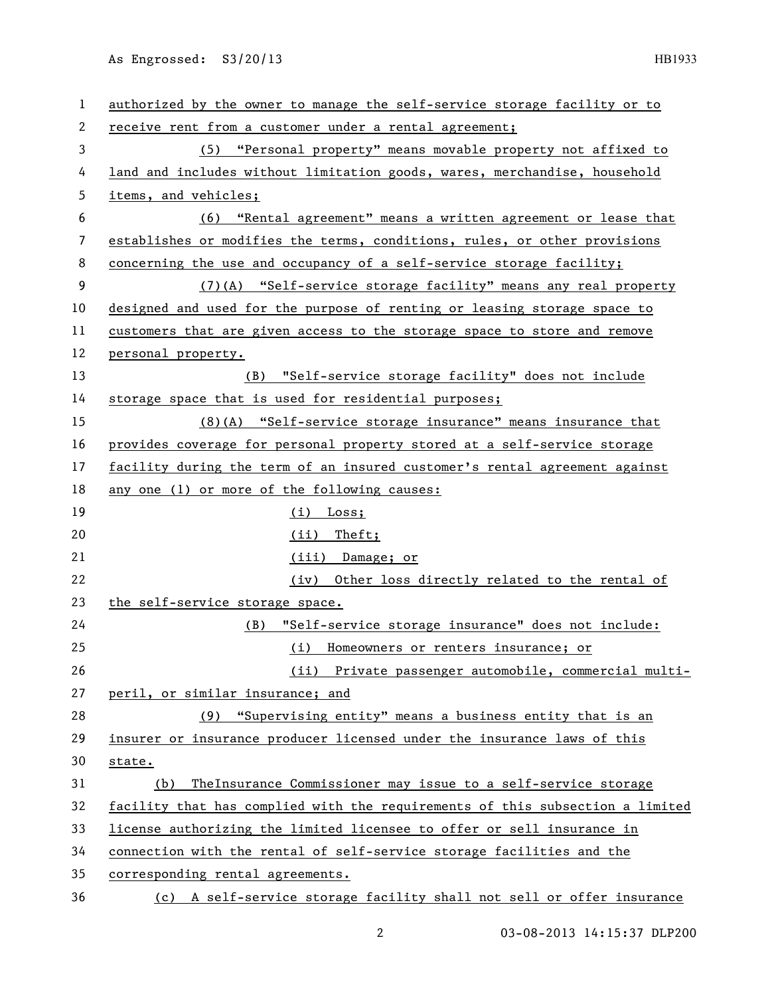As Engrossed: S3/20/13 HB1933

| 1  | authorized by the owner to manage the self-service storage facility or to     |
|----|-------------------------------------------------------------------------------|
| 2  | receive rent from a customer under a rental agreement;                        |
| 3  | (5) "Personal property" means movable property not affixed to                 |
| 4  | land and includes without limitation goods, wares, merchandise, household     |
| 5  | items, and vehicles;                                                          |
| 6  | (6) "Rental agreement" means a written agreement or lease that                |
| 7  | establishes or modifies the terms, conditions, rules, or other provisions     |
| 8  | concerning the use and occupancy of a self-service storage facility;          |
| 9  | (7)(A) "Self-service storage facility" means any real property                |
| 10 | designed and used for the purpose of renting or leasing storage space to      |
| 11 | customers that are given access to the storage space to store and remove      |
| 12 | personal property.                                                            |
| 13 | (B) "Self-service storage facility" does not include                          |
| 14 | storage space that is used for residential purposes;                          |
| 15 | (8) (A) "Self-service storage insurance" means insurance that                 |
| 16 | provides coverage for personal property stored at a self-service storage      |
| 17 | facility during the term of an insured customer's rental agreement against    |
| 18 | any one (1) or more of the following causes:                                  |
| 19 | $(i)$ Loss;                                                                   |
| 20 | $(ii)$ Theft;                                                                 |
| 21 | (iii) Damage; or                                                              |
| 22 | (iv) Other loss directly related to the rental of                             |
| 23 | the self-service storage space.                                               |
| 24 | "Self-service storage insurance" does not include:<br>(B)                     |
| 25 | (i) Homeowners or renters insurance; or                                       |
| 26 | (ii) Private passenger automobile, commercial multi-                          |
| 27 | peril, or similar insurance; and                                              |
| 28 | (9) "Supervising entity" means a business entity that is an                   |
| 29 | insurer or insurance producer licensed under the insurance laws of this       |
| 30 | state.                                                                        |
| 31 | The Insurance Commissioner may issue to a self-service storage<br>(b)         |
| 32 | facility that has complied with the requirements of this subsection a limited |
| 33 | license authorizing the limited licensee to offer or sell insurance in        |
| 34 | connection with the rental of self-service storage facilities and the         |
| 35 | corresponding rental agreements.                                              |
| 36 | (c) A self-service storage facility shall not sell or offer insurance         |

2 03-08-2013 14:15:37 DLP200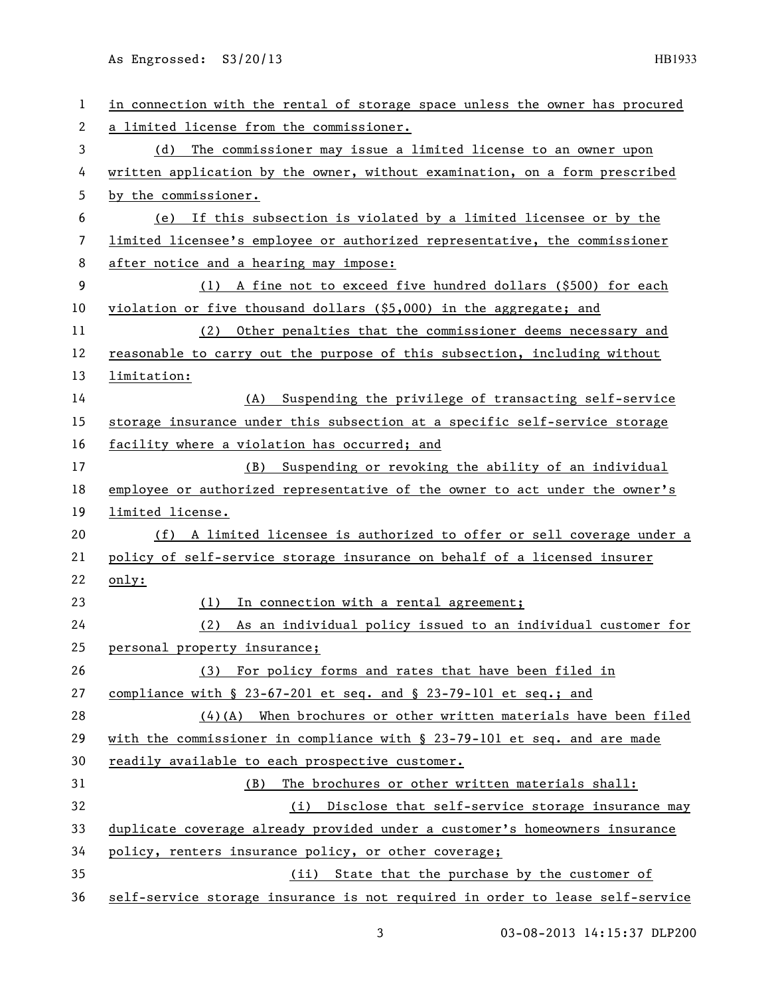As Engrossed: S3/20/13 HB1933

| 1                     | in connection with the rental of storage space unless the owner has procured |
|-----------------------|------------------------------------------------------------------------------|
| $\mathbf{2}^{\prime}$ | a limited license from the commissioner.                                     |
| 3                     | (d) The commissioner may issue a limited license to an owner upon            |
| 4                     | written application by the owner, without examination, on a form prescribed  |
| 5                     | by the commissioner.                                                         |
| 6                     | (e) If this subsection is violated by a limited licensee or by the           |
| 7                     | limited licensee's employee or authorized representative, the commissioner   |
| 8                     | after notice and a hearing may impose:                                       |
| 9                     | (1) A fine not to exceed five hundred dollars (\$500) for each               |
| 10                    | violation or five thousand dollars (\$5,000) in the aggregate; and           |
| 11                    | Other penalties that the commissioner deems necessary and<br>(2)             |
| 12                    | reasonable to carry out the purpose of this subsection, including without    |
| 13                    | limitation:                                                                  |
| 14                    | Suspending the privilege of transacting self-service<br>(A)                  |
| 15                    | storage insurance under this subsection at a specific self-service storage   |
| 16                    | facility where a violation has occurred; and                                 |
| 17                    | (B) Suspending or revoking the ability of an individual                      |
| 18                    | employee or authorized representative of the owner to act under the owner's  |
| 19                    | limited license.                                                             |
|                       |                                                                              |
| 20                    | (f) A limited licensee is authorized to offer or sell coverage under a       |
| 21                    | policy of self-service storage insurance on behalf of a licensed insurer     |
| 22                    | only:                                                                        |
| 23                    | In connection with a rental agreement;<br>(1)                                |
| 24                    | As an individual policy issued to an individual customer for<br>(2)          |
| 25                    | personal property insurance;                                                 |
| 26                    | (3) For policy forms and rates that have been filed in                       |
| 27                    | compliance with $\S$ 23-67-201 et seq. and $\S$ 23-79-101 et seq.; and       |
| 28                    | $(4)$ (A) When brochures or other written materials have been filed          |
| 29                    | with the commissioner in compliance with $\S$ 23-79-101 et seq. and are made |
| 30                    | readily available to each prospective customer.                              |
| 31                    | The brochures or other written materials shall:<br>(B)                       |
| 32                    | (i) Disclose that self-service storage insurance may                         |
| 33                    | duplicate coverage already provided under a customer's homeowners insurance  |
| 34                    | policy, renters insurance policy, or other coverage;                         |
| 35                    | (ii) State that the purchase by the customer of                              |

3 03-08-2013 14:15:37 DLP200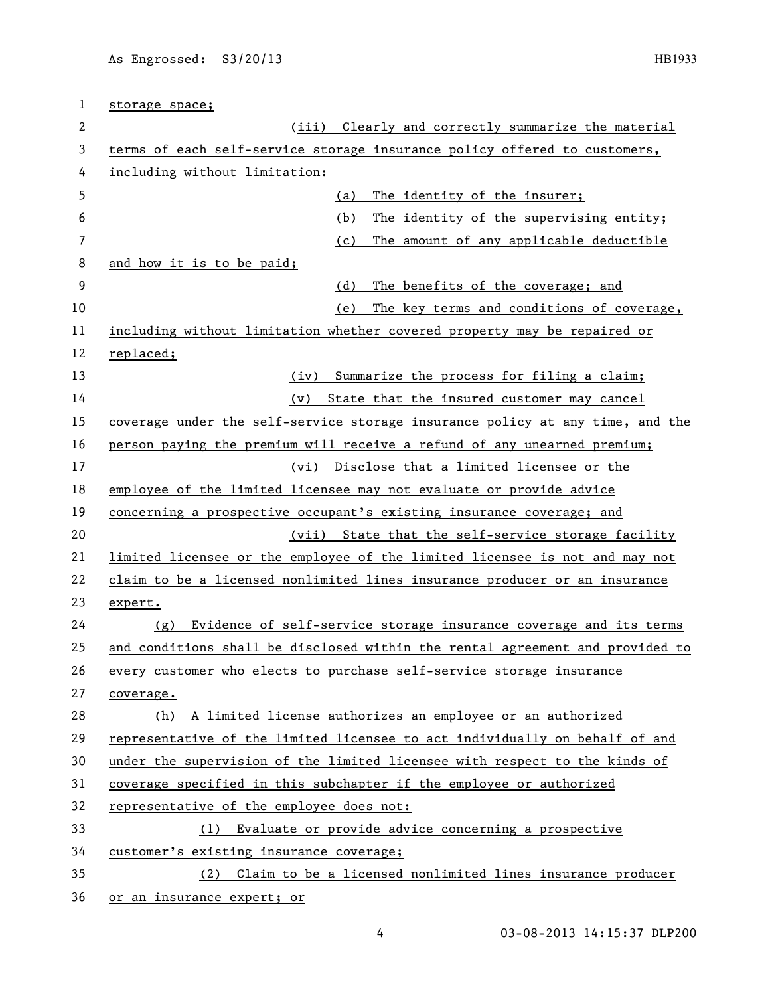| 1  | storage space;                                                                |  |
|----|-------------------------------------------------------------------------------|--|
| 2  | Clearly and correctly summarize the material<br>(iii)                         |  |
| 3  | terms of each self-service storage insurance policy offered to customers,     |  |
| 4  | including without limitation:                                                 |  |
| 5  | The identity of the insurer;<br>(a)                                           |  |
| 6  | The identity of the supervising entity;<br>(b)                                |  |
| 7  | The amount of any applicable deductible<br>(c)                                |  |
| 8  | and how it is to be paid;                                                     |  |
| 9  | The benefits of the coverage; and<br>(d)                                      |  |
| 10 | The key terms and conditions of coverage,<br>(e)                              |  |
| 11 | including without limitation whether covered property may be repaired or      |  |
| 12 | replaced;                                                                     |  |
| 13 | Summarize the process for filing a claim;<br>(iv)                             |  |
| 14 | State that the insured customer may cancel<br>(v)                             |  |
| 15 | coverage under the self-service storage insurance policy at any time, and the |  |
| 16 | person paying the premium will receive a refund of any unearned premium;      |  |
| 17 | Disclose that a limited licensee or the<br>(vi)                               |  |
| 18 | employee of the limited licensee may not evaluate or provide advice           |  |
| 19 | concerning a prospective occupant's existing insurance coverage; and          |  |
| 20 | (vii) State that the self-service storage facility                            |  |
| 21 | limited licensee or the employee of the limited licensee is not and may not   |  |
| 22 | claim to be a licensed nonlimited lines insurance producer or an insurance    |  |
| 23 | expert.                                                                       |  |
| 24 | Evidence of self-service storage insurance coverage and its terms<br>(g)      |  |
| 25 | and conditions shall be disclosed within the rental agreement and provided to |  |
| 26 | every customer who elects to purchase self-service storage insurance          |  |
| 27 | coverage.                                                                     |  |
| 28 | (h) A limited license authorizes an employee or an authorized                 |  |
| 29 | representative of the limited licensee to act individually on behalf of and   |  |
| 30 | under the supervision of the limited licensee with respect to the kinds of    |  |
| 31 | coverage specified in this subchapter if the employee or authorized           |  |
| 32 | representative of the employee does not:                                      |  |
| 33 | Evaluate or provide advice concerning a prospective<br>(1)                    |  |
| 34 | customer's existing insurance coverage;                                       |  |
| 35 | Claim to be a licensed nonlimited lines insurance producer<br>(2)             |  |
| 36 | or an insurance expert; or                                                    |  |